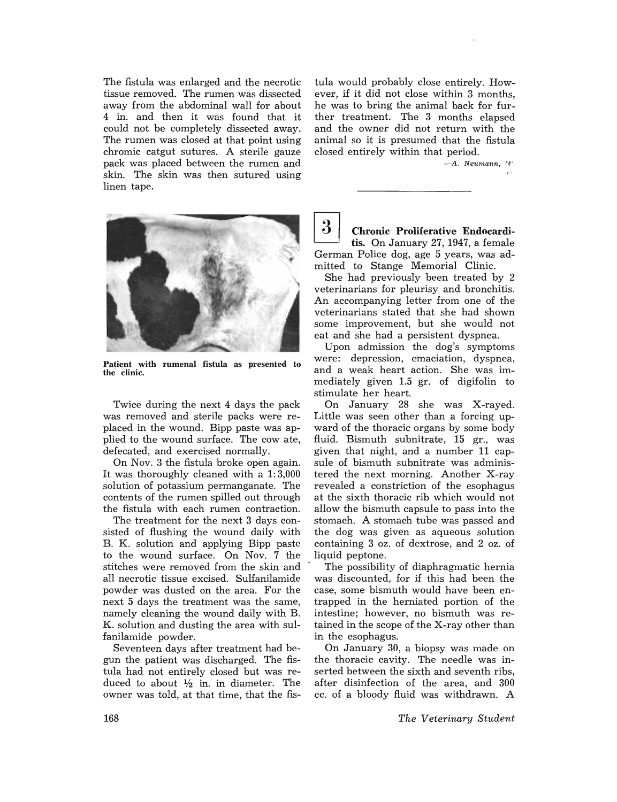The fistula was enlarged and the necrotic tissue removed. The rumen was dissected away from the abdominal wall for about 4 in. and then it was found that it could not be completely dissected away. The rumen was closed at that point using chromic catgut sutures. A sterile gauze pack was placed between the rumen and skin. The skin was then sutured using linen tape.



*-A. Neumann, '4 '·* 



Patient with rumenal fistula as presented to the clinic.

to the wound surface. On Nov. 7 the liquid peptone. fanilamide powder.  $\qquad \qquad$  in the esophagus.

gun the patient was discharged. The fis- the thoracic cavity. The needle was intula had not entirely closed but was re- serted between the sixth and seventh ribs, duced to about  $\frac{1}{2}$  in. in diameter. The after disinfection of the area, and 300 owner was told, at that time, that the fis- cc. of a bloody fluid was withdrawn. A



Chronic Proliferative Endocarditis. On January 27, 1947, a female German Police dog, age 5 years, was admitted to Stange Memorial Clinic.

She had previously been treated by 2 veterinarians for pleurisy and bronchitis. An accompanying letter from one of the veterinarians stated that she had shown some improvement, but she would not eat and she had a persistent dyspnea.

Upon admission the dog's symptoms were: depression, emaciation, dyspnea, and a weak heart action. She was immediately given 1.5 gr. of digifolin to stimulate her heart.

Twice during the next 4 days the pack On January 28 she was X-rayed. was removed and sterile packs were re- Little was seen other than a forcing upplaced in the wound. Bipp paste was ap- ward of the thoracic organs by some body plied to the wound surface. The cow ate, fluid. Bismuth subnitrate, 15 gr., was defecated, and exercised normally. given that night, and a number 11 cap-On Nov. 3 the fistula broke open again. sule of bismuth subnitrate was adminis-It was thoroughly cleaned with a 1: 3,000 tered the next morning. Another X-ray solution of potassium permanganate. The revealed a constriction of the esophagus contents of the rumen spilled out through at the sixth thoracic rib which would not the fistula with each rumen contraction. allow the bismuth capsule to pass into the The treatment for the next 3 days con- stomach. A stomach tube was passed and sisted of flushing the wound daily with the dog was given as aqueous solution B. K. solution and applying Bipp paste containing 3 oz. of dextrose, and 2 oz. of

stitches were removed from the skin and  $\sim$  The possibility of diaphragmatic hernia all necrotic tissue excised. Sulfanilamide was discounted, for if this had been the powder was dusted on the area. For the case, some bismuth would have been ennext 5 days the treatment was the same, trapped in the herniated portion of the namely cleaning the wound daily with B. intestine; however, no bismuth was re-K. solution and dusting the area with sul- tained in the scope of the X-ray other than

Seventeen days after treatment had be- On January 30, a biopsy was made on